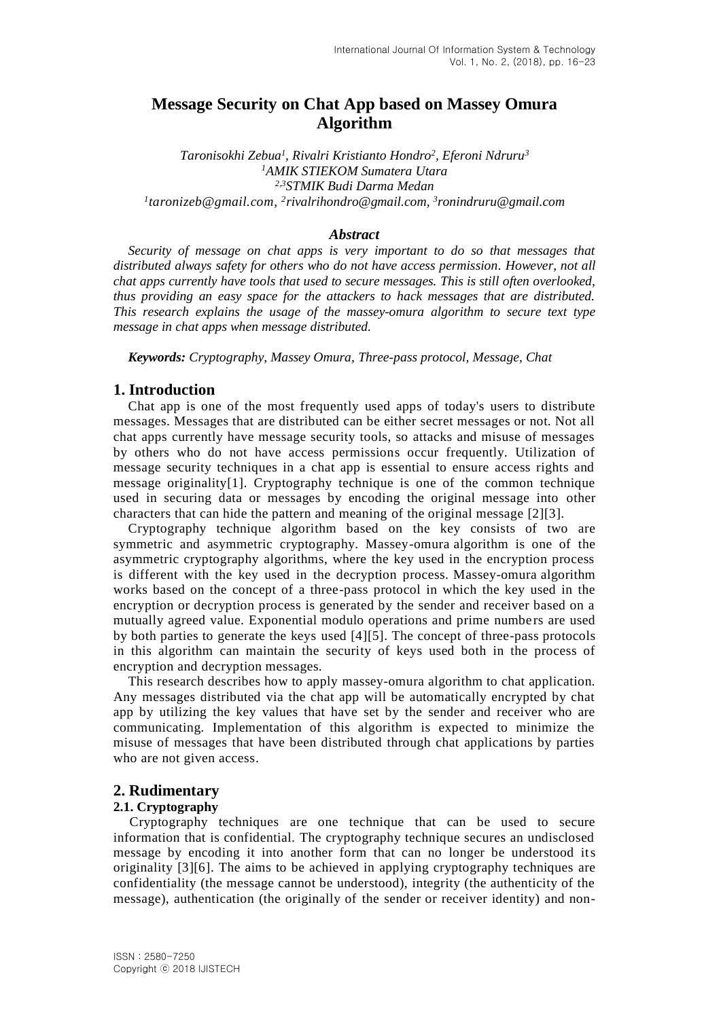# **Message Security on Chat App based on Massey Omura Algorithm**

*Taronisokhi Zebua<sup>1</sup> , Rivalri Kristianto Hondro<sup>2</sup> , Eferoni Ndruru<sup>3</sup> <sup>1</sup>AMIK STIEKOM Sumatera Utara 2,3STMIK Budi Darma Medan 1 [taronizeb@gmail.com,](mailto:1taronizeb@gmail.com) 2 [rivalrihondro@gmail.com,](mailto:2rivalryhondro@gmail.com) 3 [ronindruru@gmail.com](mailto:3ronindruru@gmail.com)*

#### *Abstract*

*Security of message on chat apps is very important to do so that messages that distributed always safety for others who do not have access permission. However, not all chat apps currently have tools that used to secure messages. This is still often overlooked, thus providing an easy space for the attackers to hack messages that are distributed. This research explains the usage of the massey-omura algorithm to secure text type message in chat apps when message distributed.*

*Keywords: Cryptography, Massey Omura, Three-pass protocol, Message, Chat*

## **1. Introduction**

Chat app is one of the most frequently used apps of today's users to distribute messages. Messages that are distributed can be either secret messages or not. Not all chat apps currently have message security tools, so attacks and misuse of messages by others who do not have access permissions occur frequently. Utilization of message security techniques in a chat app is essential to ensure access rights and message originality[1]. Cryptography technique is one of the common technique used in securing data or messages by encoding the original message into other characters that can hide the pattern and meaning of the original message [2][3].

Cryptography technique algorithm based on the key consists of two are symmetric and asymmetric cryptography. Massey-omura algorithm is one of the asymmetric cryptography algorithms, where the key used in the encryption process is different with the key used in the decryption process. Massey-omura algorithm works based on the concept of a three-pass protocol in which the key used in the encryption or decryption process is generated by the sender and receiver based on a mutually agreed value. Exponential modulo operations and prime numbers are used by both parties to generate the keys used [4][5]. The concept of three-pass protocols in this algorithm can maintain the security of keys used both in the process of encryption and decryption messages.

This research describes how to apply massey-omura algorithm to chat application. Any messages distributed via the chat app will be automatically encrypted by chat app by utilizing the key values that have set by the sender and receiver who are communicating. Implementation of this algorithm is expected to minimize the misuse of messages that have been distributed through chat applications by parties who are not given access.

#### **2. Rudimentary**

#### **2.1. Cryptography**

Cryptography techniques are one technique that can be used to secure information that is confidential. The cryptography technique secures an undisclosed message by encoding it into another form that can no longer be understood its originality [3][6]. The aims to be achieved in applying cryptography techniques are confidentiality (the message cannot be understood), integrity (the authenticity of the message), authentication (the originally of the sender or receiver identity) and non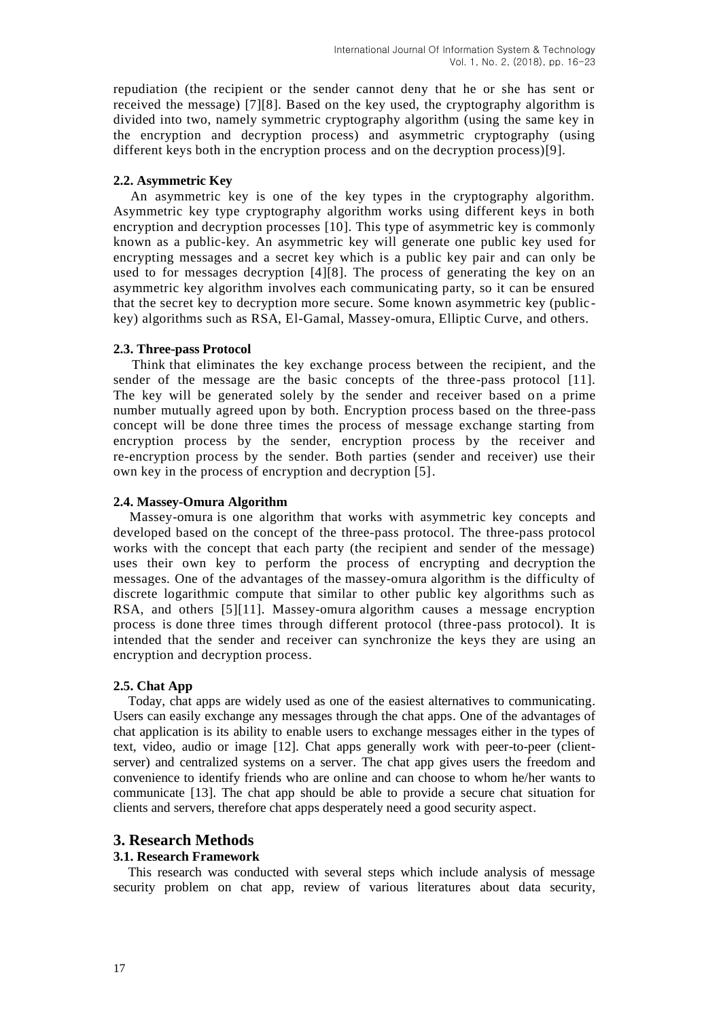repudiation (the recipient or the sender cannot deny that he or she has sent or received the message) [7][8]. Based on the key used, the cryptography algorithm is divided into two, namely symmetric cryptography algorithm (using the same key in the encryption and decryption process) and asymmetric cryptography (using different keys both in the encryption process and on the decryption process)[9].

### **2.2. Asymmetric Key**

An asymmetric key is one of the key types in the cryptography algorithm. Asymmetric key type cryptography algorithm works using different keys in both encryption and decryption processes [10]. This type of asymmetric key is commonly known as a public-key. An asymmetric key will generate one public key used for encrypting messages and a secret key which is a public key pair and can only be used to for messages decryption [4][8]. The process of generating the key on an asymmetric key algorithm involves each communicating party, so it can be ensured that the secret key to decryption more secure. Some known asymmetric key (public key) algorithms such as RSA, El-Gamal, Massey-omura, Elliptic Curve, and others.

#### **2.3. Three-pass Protocol**

Think that eliminates the key exchange process between the recipient, and the sender of the message are the basic concepts of the three-pass protocol [11]. The key will be generated solely by the sender and receiver based on a prime number mutually agreed upon by both. Encryption process based on the three-pass concept will be done three times the process of message exchange starting from encryption process by the sender, encryption process by the receiver and re-encryption process by the sender. Both parties (sender and receiver) use their own key in the process of encryption and decryption [5].

### **2.4. Massey-Omura Algorithm**

Massey-omura is one algorithm that works with asymmetric key concepts and developed based on the concept of the three-pass protocol. The three-pass protocol works with the concept that each party (the recipient and sender of the message) uses their own key to perform the process of encrypting and decryption the messages. One of the advantages of the massey-omura algorithm is the difficulty of discrete logarithmic compute that similar to other public key algorithms such as RSA, and others [5][11]. Massey-omura algorithm causes a message encryption process is done three times through different protocol (three-pass protocol). It is intended that the sender and receiver can synchronize the keys they are using an encryption and decryption process.

## **2.5. Chat App**

Today, chat apps are widely used as one of the easiest alternatives to communicating. Users can easily exchange any messages through the chat apps. One of the advantages of chat application is its ability to enable users to exchange messages either in the types of text, video, audio or image [12]. Chat apps generally work with peer-to-peer (clientserver) and centralized systems on a server. The chat app gives users the freedom and convenience to identify friends who are online and can choose to whom he/her wants to communicate [13]. The chat app should be able to provide a secure chat situation for clients and servers, therefore chat apps desperately need a good security aspect.

## **3. Research Methods**

#### **3.1. Research Framework**

This research was conducted with several steps which include analysis of message security problem on chat app, review of various literatures about data security,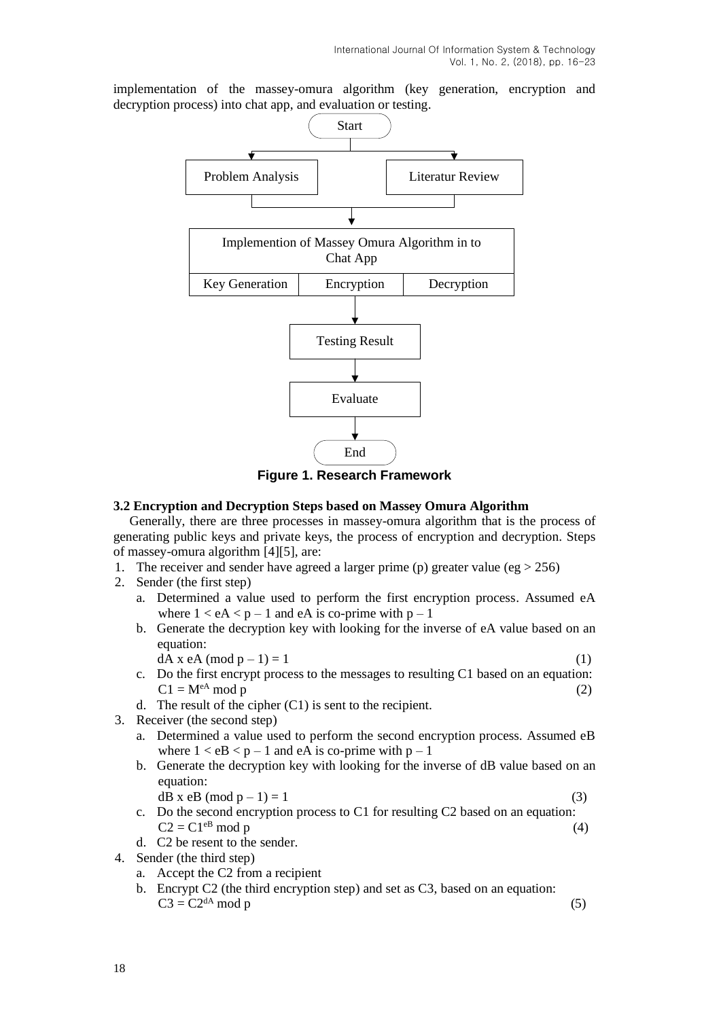implementation of the massey-omura algorithm (key generation, encryption and decryption process) into chat app, and evaluation or testing.



**Figure 1. Research Framework**

#### **3.2 Encryption and Decryption Steps based on Massey Omura Algorithm**

Generally, there are three processes in massey-omura algorithm that is the process of generating public keys and private keys, the process of encryption and decryption. Steps of massey-omura algorithm [4][5], are:

- 1. The receiver and sender have agreed a larger prime (p) greater value (eg  $> 256$ )
- 2. Sender (the first step)
	- a. Determined a value used to perform the first encryption process. Assumed eA where  $1 < eA < p - 1$  and eA is co-prime with  $p - 1$
	- b. Generate the decryption key with looking for the inverse of eA value based on an equation:
	- $dA \times eA \text{ (mod } p 1) = 1$  (1)
	- c. Do the first encrypt process to the messages to resulting C1 based on an equation:  $C1 = M^{\text{eA}}$  mod p (2)
	- d. The result of the cipher (C1) is sent to the recipient.
- 3. Receiver (the second step)
	- a. Determined a value used to perform the second encryption process. Assumed eB where  $1 < eB < p - 1$  and eA is co-prime with  $p - 1$
	- b. Generate the decryption key with looking for the inverse of dB value based on an equation:

$$
dB x eB (mod p - 1) = 1
$$
\n(3)

- c. Do the second encryption process to C1 for resulting C2 based on an equation:  $C2 = C1^{eB} \mod p$  (4)
- d. C2 be resent to the sender.
- 4. Sender (the third step)
	- a. Accept the C2 from a recipient
	- b. Encrypt C2 (the third encryption step) and set as C3, based on an equation:  $C3 = C2^{dA} \mod p$  (5)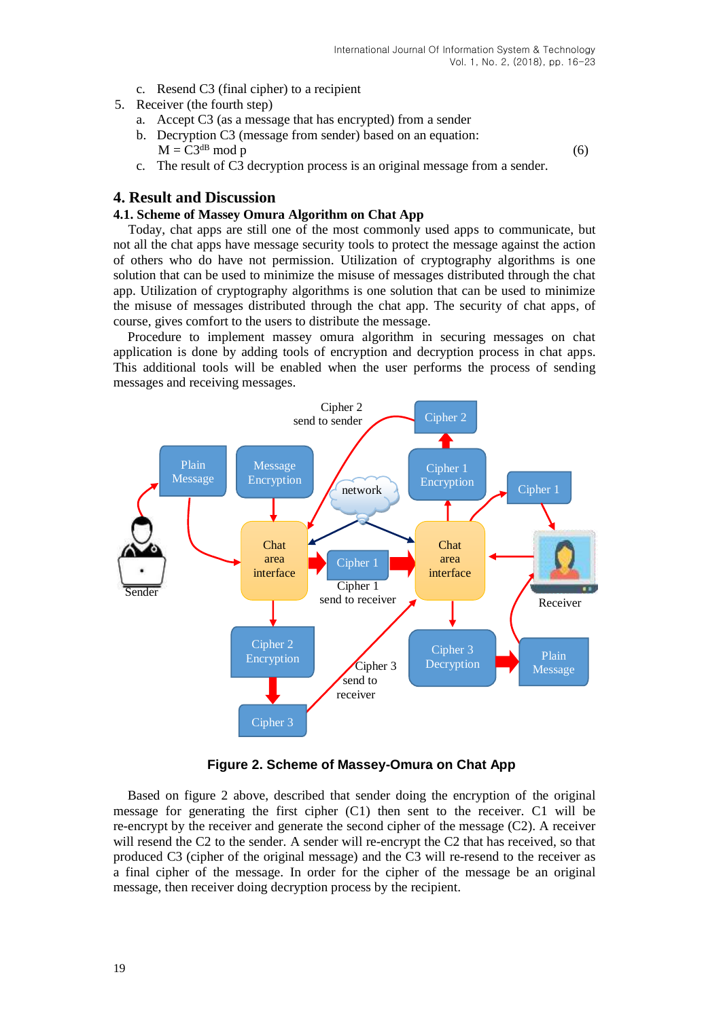- c. Resend C3 (final cipher) to a recipient
- 5. Receiver (the fourth step)
	- a. Accept C3 (as a message that has encrypted) from a sender
	- b. Decryption C3 (message from sender) based on an equation:  $M = C3^{dB} \text{ mod } p$  (6)
	- c. The result of C3 decryption process is an original message from a sender.

### **4. Result and Discussion**

#### **4.1. Scheme of Massey Omura Algorithm on Chat App**

Today, chat apps are still one of the most commonly used apps to communicate, but not all the chat apps have message security tools to protect the message against the action of others who do have not permission. Utilization of cryptography algorithms is one solution that can be used to minimize the misuse of messages distributed through the chat app. Utilization of cryptography algorithms is one solution that can be used to minimize the misuse of messages distributed through the chat app. The security of chat apps, of course, gives comfort to the users to distribute the message.

Procedure to implement massey omura algorithm in securing messages on chat application is done by adding tools of encryption and decryption process in chat apps. This additional tools will be enabled when the user performs the process of sending messages and receiving messages.



**Figure 2. Scheme of Massey-Omura on Chat App**

Based on figure 2 above, described that sender doing the encryption of the original message for generating the first cipher (C1) then sent to the receiver. C1 will be re-encrypt by the receiver and generate the second cipher of the message (C2). A receiver will resend the C2 to the sender. A sender will re-encrypt the C2 that has received, so that produced C3 (cipher of the original message) and the C3 will re-resend to the receiver as a final cipher of the message. In order for the cipher of the message be an original message, then receiver doing decryption process by the recipient.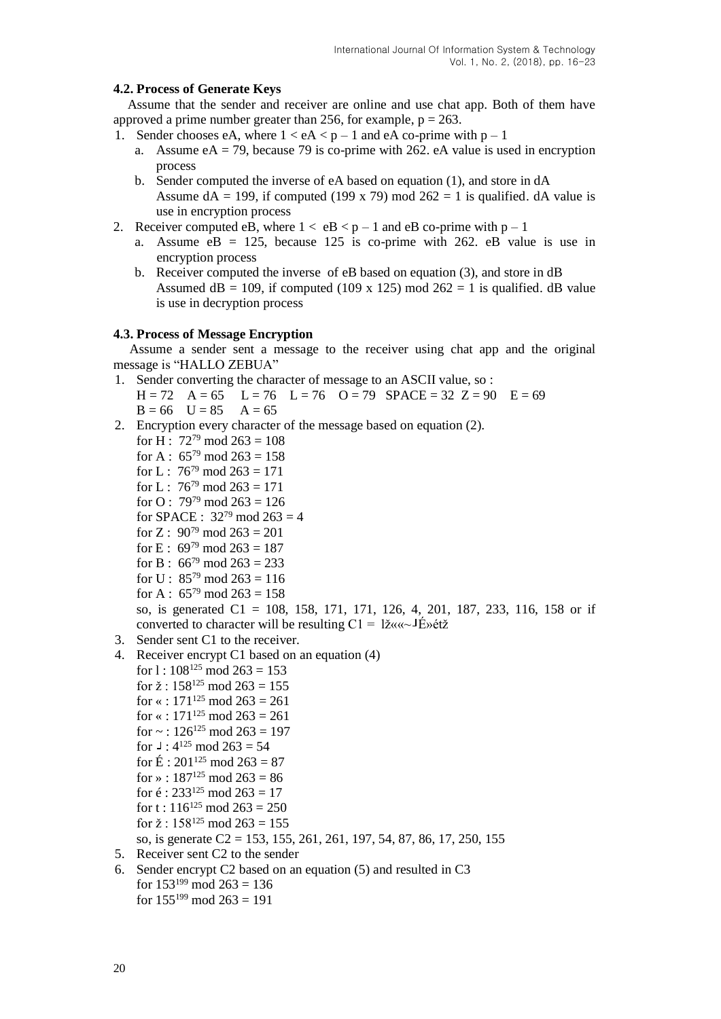## **4.2. Process of Generate Keys**

Assume that the sender and receiver are online and use chat app. Both of them have approved a prime number greater than 256, for example,  $p = 263$ .

- 1. Sender chooses eA, where  $1 < eA < p 1$  and eA co-prime with  $p 1$ 
	- a. Assume  $eA = 79$ , because 79 is co-prime with 262. eA value is used in encryption process
	- b. Sender computed the inverse of eA based on equation (1), and store in dA Assume  $dA = 199$ , if computed (199 x 79) mod  $262 = 1$  is qualified. dA value is use in encryption process
- 2. Receiver computed eB, where  $1 < eB < p 1$  and eB co-prime with  $p 1$ 
	- a. Assume  $eB = 125$ , because 125 is co-prime with 262. eB value is use in encryption process
	- b. Receiver computed the inverse of eB based on equation (3), and store in dB Assumed dB = 109, if computed (109 x 125) mod  $262 = 1$  is qualified. dB value is use in decryption process

#### **4.3. Process of Message Encryption**

Assume a sender sent a message to the receiver using chat app and the original message is "HALLO ZEBUA"

- 1. Sender converting the character of message to an ASCII value, so :
- $H = 72$   $A = 65$   $L = 76$   $L = 76$   $Q = 79$   $SPACE = 32$   $Z = 90$   $E = 69$  $B = 66$   $U = 85$   $A = 65$
- 2. Encryption every character of the message based on equation (2).
	- for H :  $72^{79}$  mod  $263 = 108$
	- for A :  $65^{79}$  mod  $263 = 158$
	- for L :  $76^{79}$  mod  $263 = 171$
	- for L :  $76^{79}$  mod  $263 = 171$
	- for O:  $79^{79}$  mod  $263 = 126$
	- for SPACE :  $32^{79}$  mod  $263 = 4$
	- for Z :  $90^{79}$  mod  $263 = 201$
	- for E :  $69^{79}$  mod  $263 = 187$
	- for B :  $66^{79}$  mod  $263 = 233$
	- for U :  $85^{79}$  mod  $263 = 116$
	- for A :  $65^{79}$  mod  $263 = 158$

so, is generated C1 = 108, 158, 171, 171, 126, 4, 201, 187, 233, 116, 158 or if converted to character will be resulting  $C1 = \frac{1}{2}$   $\alpha \alpha \sim \frac{1}{2}$   $\beta \gamma$  et  $\bar{z}$ 

- 3. Sender sent C1 to the receiver.
- 4. Receiver encrypt C1 based on an equation (4)
- for  $1: 108^{125} \text{ mod } 263 = 153$ for  $\check{z}$  : 158<sup>125</sup> mod 263 = 155 for  $\le$  : 171<sup>125</sup> mod 263 = 261 for « :  $171^{125}$  mod  $263 = 261$ for  $\sim$  : 126<sup>125</sup> mod 263 = 197 for  $\sqrt{3}$  : 4<sup>125</sup> mod 263 = 54 for  $\acute{E}$  : 201<sup>125</sup> mod 263 = 87 for » :  $187^{125}$  mod  $263 = 86$ for  $\acute{e}$  : 233<sup>125</sup> mod 263 = 17 for t :  $116^{125}$  mod  $263 = 250$ 
	- for  $\check{z}$  : 158<sup>125</sup> mod 263 = 155
	- so, is generate C2 = 153, 155, 261, 261, 197, 54, 87, 86, 17, 250, 155
- 5. Receiver sent C2 to the sender
- 6. Sender encrypt C2 based on an equation (5) and resulted in C3 for  $153^{199}$  mod  $263 = 136$ for  $155^{199}$  mod  $263 = 191$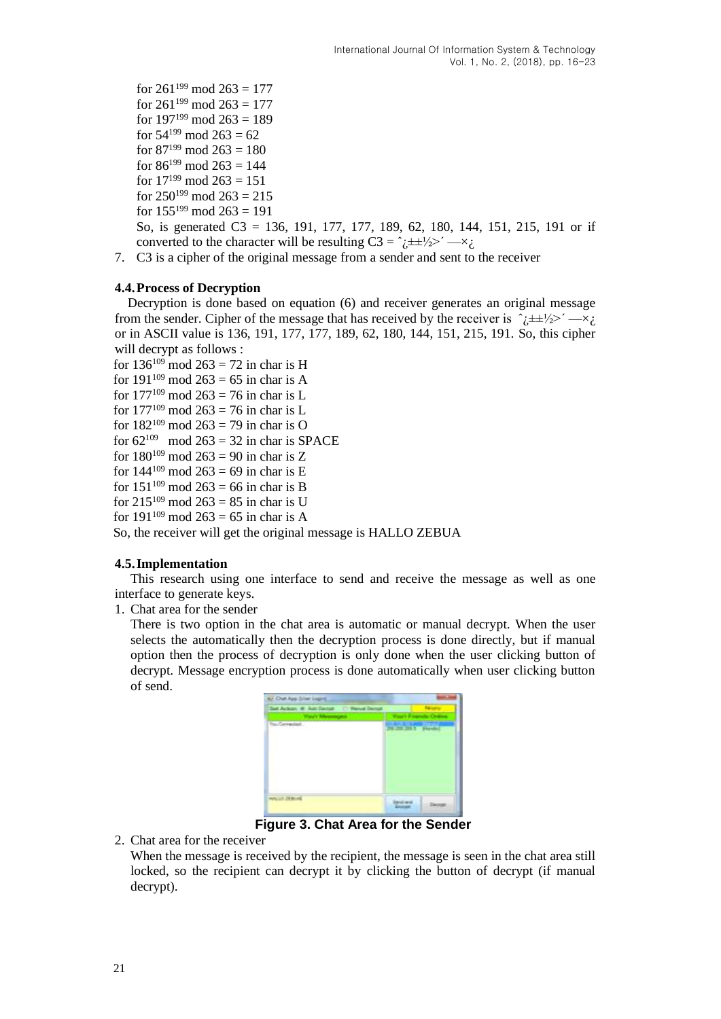- for  $261^{199}$  mod  $263 = 177$ for  $261^{199}$  mod  $263 = 177$ for  $197^{199}$  mod  $263 = 189$ for  $54^{199}$  mod  $263 = 62$ for  $87^{199}$  mod  $263 = 180$ for  $86^{199}$  mod  $263 = 144$ for  $17^{199}$  mod  $263 = 151$ for  $250^{199}$  mod  $263 = 215$ for  $155^{199}$  mod  $263 = 191$ So, is generated C3 = 136, 191, 177, 177, 189, 62, 180, 144, 151, 215, 191 or if converted to the character will be resulting  $C3 = \hat{i} \pm \frac{1}{2} > \hat{j} - \hat{k}$ .
- 7. C3 is a cipher of the original message from a sender and sent to the receiver

## **4.4.Process of Decryption**

Decryption is done based on equation (6) and receiver generates an original message from the sender. Cipher of the message that has received by the receiver is  $\hat{c} \pm \pm \frac{1}{2} > -\times \hat{c}$ or in ASCII value is 136, 191, 177, 177, 189, 62, 180, 144, 151, 215, 191. So, this cipher will decrypt as follows :

```
for 136^{109} mod 263 = 72 in char is H
for 191^{109} mod 263 = 65 in char is A
for 177^{109} mod 263 = 76 in char is L
for 177^{109} mod 263 = 76 in char is L
for 182^{109} mod 263 = 79 in char is O
for 62^{109} mod 263 = 32 in char is SPACE
for 180^{109} mod 263 = 90 in char is Z
for 144^{109} mod 263 = 69 in char is E
for 151^{109} mod 263 = 66 in char is B
for 215^{109} mod 263 = 85 in char is U
for 191^{109} mod 263 = 65 in char is A
```
So, the receiver will get the original message is HALLO ZEBUA

## **4.5.Implementation**

This research using one interface to send and receive the message as well as one interface to generate keys.

1. Chat area for the sender

There is two option in the chat area is automatic or manual decrypt. When the user selects the automatically then the decryption process is done directly, but if manual option then the process of decryption is only done when the user clicking button of decrypt. Message encryption process is done automatically when user clicking button of send.

| last Action 1<br>C Wood Docut             |  |  |
|-------------------------------------------|--|--|
| <b><i><u>Constitution Service</u></i></b> |  |  |
| Su-Geyadak.                               |  |  |
|                                           |  |  |

**Figure 3. Chat Area for the Sender**

2. Chat area for the receiver

When the message is received by the recipient, the message is seen in the chat area still locked, so the recipient can decrypt it by clicking the button of decrypt (if manual decrypt).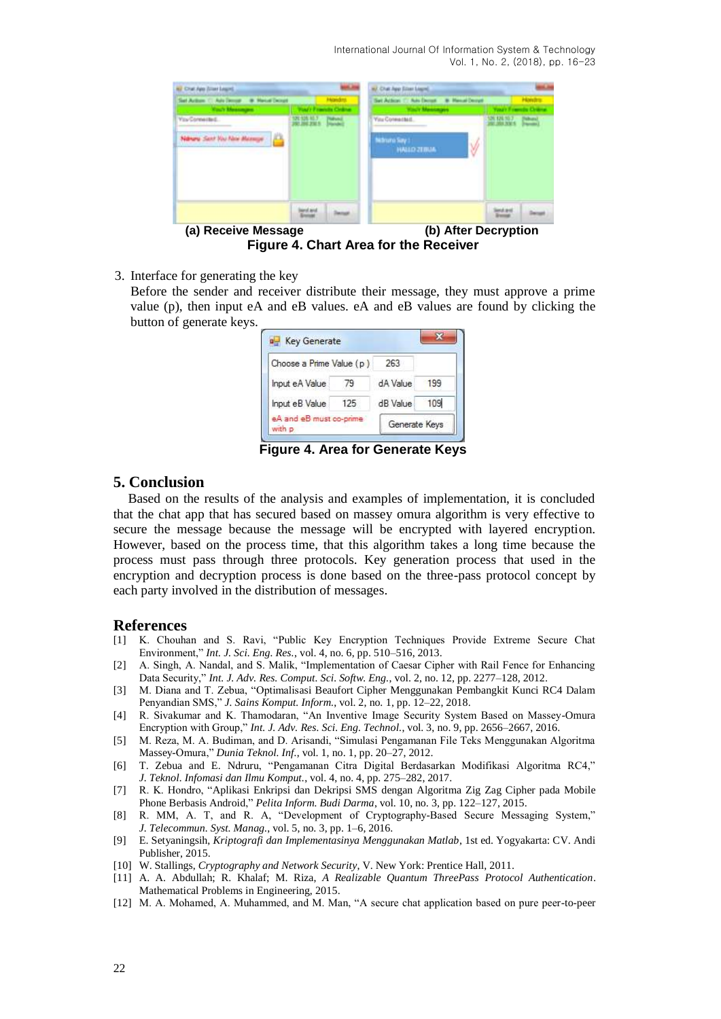International Journal Of Information System & Technology Vol. 1, No. 2, (2018), pp. 16-23

| @ Hand Dough<br>Sent Automotive Auto De        | Hondro.   | Set Action 1: Ads Denut B. Henri Denyt              | Hondra              |
|------------------------------------------------|-----------|-----------------------------------------------------|---------------------|
| <b>You Connected.</b><br>Sent Visi Alex Manuse | 20120-017 | <b>You Connected.</b><br>Nidruno Say<br>NAILD ZEBUA | 126, 126, 10-7<br>Ŵ |
|                                                |           |                                                     |                     |

**Figure 4. Chart Area for the Receiver**

3. Interface for generating the key

Before the sender and receiver distribute their message, they must approve a prime value (p), then input eA and eB values. eA and eB values are found by clicking the button of generate keys.

| Choose a Prime Value (p) | 263      |     |
|--------------------------|----------|-----|
| Input eA Value<br>79     | dA Value | 199 |
| Input eB Value<br>125    | dB Value | 109 |

**Figure 4. Area for Generate Keys**

# **5. Conclusion**

Based on the results of the analysis and examples of implementation, it is concluded that the chat app that has secured based on massey omura algorithm is very effective to secure the message because the message will be encrypted with layered encryption. However, based on the process time, that this algorithm takes a long time because the process must pass through three protocols. Key generation process that used in the encryption and decryption process is done based on the three-pass protocol concept by each party involved in the distribution of messages.

# **References**

- [1] K. Chouhan and S. Ravi, "Public Key Encryption Techniques Provide Extreme Secure Chat Environment," *Int. J. Sci. Eng. Res.*, vol. 4, no. 6, pp. 510–516, 2013.
- [2] A. Singh, A. Nandal, and S. Malik, "Implementation of Caesar Cipher with Rail Fence for Enhancing Data Security," *Int. J. Adv. Res. Comput. Sci. Softw. Eng.*, vol. 2, no. 12, pp. 2277–128, 2012.
- [3] M. Diana and T. Zebua, "Optimalisasi Beaufort Cipher Menggunakan Pembangkit Kunci RC4 Dalam Penyandian SMS," *J. Sains Komput. Inform.*, vol. 2, no. 1, pp. 12–22, 2018.
- [4] R. Sivakumar and K. Thamodaran, "An Inventive Image Security System Based on Massey-Omura Encryption with Group," *Int. J. Adv. Res. Sci. Eng. Technol.*, vol. 3, no. 9, pp. 2656–2667, 2016.
- [5] M. Reza, M. A. Budiman, and D. Arisandi, "Simulasi Pengamanan File Teks Menggunakan Algoritma Massey-Omura," *Dunia Teknol. Inf.*, vol. 1, no. 1, pp. 20–27, 2012.
- [6] T. Zebua and E. Ndruru, "Pengamanan Citra Digital Berdasarkan Modifikasi Algoritma RC4," *J. Teknol. Infomasi dan Ilmu Komput.*, vol. 4, no. 4, pp. 275–282, 2017.
- [7] R. K. Hondro, "Aplikasi Enkripsi dan Dekripsi SMS dengan Algoritma Zig Zag Cipher pada Mobile Phone Berbasis Android," *Pelita Inform. Budi Darma*, vol. 10, no. 3, pp. 122–127, 2015.
- [8] R. MM, A. T, and R. A, "Development of Cryptography-Based Secure Messaging System," *J. Telecommun. Syst. Manag.*, vol. 5, no. 3, pp. 1–6, 2016.
- [9] E. Setyaningsih, *Kriptografi dan Implementasinya Menggunakan Matlab*, 1st ed. Yogyakarta: CV. Andi Publisher, 2015.
- [10] W. Stallings, *Cryptography and Network Security*, V. New York: Prentice Hall, 2011.
- [11] A. A. Abdullah; R. Khalaf; M. Riza, *A Realizable Quantum ThreePass Protocol Authentication*. Mathematical Problems in Engineering, 2015.
- [12] M. A. Mohamed, A. Muhammed, and M. Man, "A secure chat application based on pure peer-to-peer